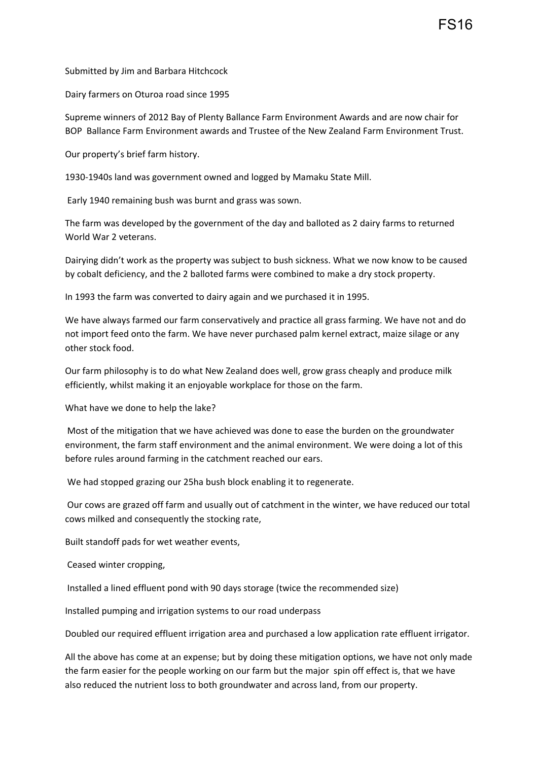FS16

Submitted by Jim and Barbara Hitchcock

Dairy farmers on Oturoa road since 1995

Supreme winners of 2012 Bay of Plenty Ballance Farm Environment Awards and are now chair for BOP Ballance Farm Environment awards and Trustee of the New Zealand Farm Environment Trust.

Our property's brief farm history.

1930-1940s land was government owned and logged by Mamaku State Mill.

Early 1940 remaining bush was burnt and grass was sown.

The farm was developed by the government of the day and balloted as 2 dairy farms to returned World War 2 veterans.

Dairying didn't work as the property was subject to bush sickness. What we now know to be caused by cobalt deficiency, and the 2 balloted farms were combined to make a dry stock property.

In 1993 the farm was converted to dairy again and we purchased it in 1995.

We have always farmed our farm conservatively and practice all grass farming. We have not and do not import feed onto the farm. We have never purchased palm kernel extract, maize silage or any other stock food.

Our farm philosophy is to do what New Zealand does well, grow grass cheaply and produce milk efficiently, whilst making it an enjoyable workplace for those on the farm.

What have we done to help the lake?

Most of the mitigation that we have achieved was done to ease the burden on the groundwater environment, the farm staff environment and the animal environment. We were doing a lot of this before rules around farming in the catchment reached our ears.

We had stopped grazing our 25ha bush block enabling it to regenerate.

Our cows are grazed off farm and usually out of catchment in the winter, we have reduced our total cows milked and consequently the stocking rate,

Built standoff pads for wet weather events,

Ceased winter cropping,

Installed a lined effluent pond with 90 days storage (twice the recommended size)

Installed pumping and irrigation systems to our road underpass

Doubled our required effluent irrigation area and purchased a low application rate effluent irrigator.

All the above has come at an expense; but by doing these mitigation options, we have not only made the farm easier for the people working on our farm but the major spin off effect is, that we have also reduced the nutrient loss to both groundwater and across land, from our property.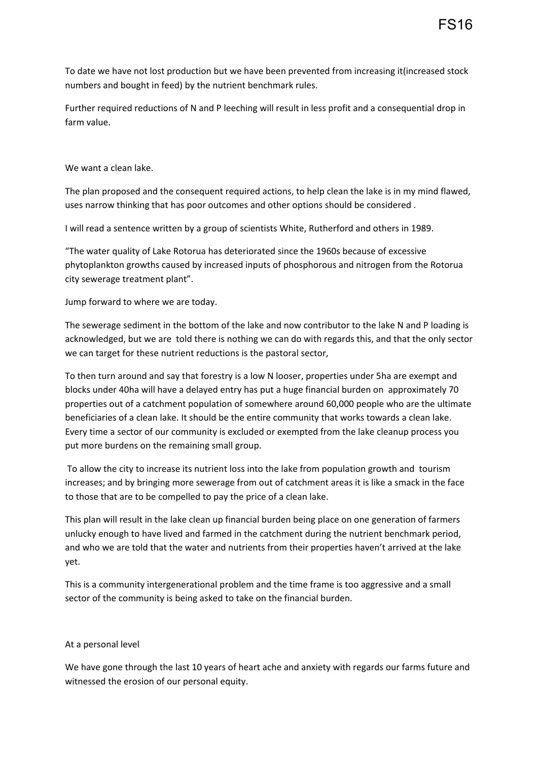To date we have not lost production but we have been prevented from increasing it(increased stock numbers and bought in feed) by the nutrient benchmark rules.

Further required reductions of N and P leeching will result in less profit and a consequential drop in farm value.

We want a clean lake.

The plan proposed and the consequent required actions, to help clean the lake is in my mind flawed, uses narrow thinking that has poor outcomes and other options should be considered .

I will read a sentence written by a group of scientists White, Rutherford and others in 1989.

"The water quality of Lake Rotorua has deteriorated since the 1960s because of excessive phytoplankton growths caused by increased inputs of phosphorous and nitrogen from the Rotorua city sewerage treatment plant".

Jump forward to where we are today.

The sewerage sediment in the bottom of the lake and now contributor to the lake N and P loading is acknowledged, but we are told there is nothing we can do with regards this, and that the only sector we can target for these nutrient reductions is the pastoral sector,

To then turn around and say that forestry is a low N looser, properties under 5ha are exempt and blocks under 40ha will have a delayed entry has put a huge financial burden on approximately 70 properties out of a catchment population of somewhere around 60,000 people who are the ultimate beneficiaries of a clean lake. It should be the entire community that works towards a clean lake. Every time a sector of our community is excluded or exempted from the lake cleanup process you put more burdens on the remaining small group.

To allow the city to increase its nutrient loss into the lake from population growth and tourism increases; and by bringing more sewerage from out of catchment areas it is like a smack in the face to those that are to be compelled to pay the price of a clean lake.

This plan will result in the lake clean up financial burden being place on one generation of farmers unlucky enough to have lived and farmed in the catchment during the nutrient benchmark period, and who we are told that the water and nutrients from their properties haven't arrived at the lake yet.

This is a community intergenerational problem and the time frame is too aggressive and a small sector of the community is being asked to take on the financial burden.

## At a personal level

We have gone through the last 10 years of heart ache and anxiety with regards our farms future and witnessed the erosion of our personal equity.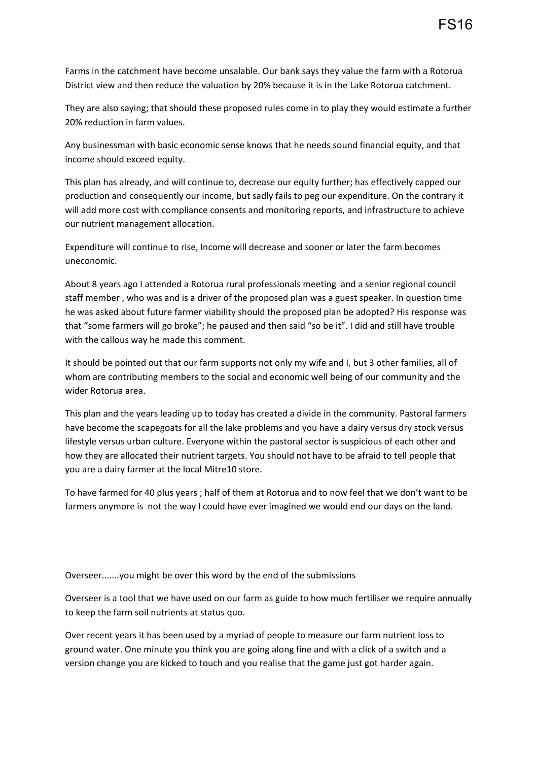Farms in the catchment have become unsalable. Our bank says they value the farm with a Rotorua District view and then reduce the valuation by 20% because it is in the Lake Rotorua catchment.

They are also saying; that should these proposed rules come in to play they would estimate a further 20% reduction in farm values.

Any businessman with basic economic sense knows that he needs sound financial equity, and that income should exceed equity.

This plan has already, and will continue to, decrease our equity further; has effectively capped our production and consequently our income, but sadly fails to peg our expenditure. On the contrary it will add more cost with compliance consents and monitoring reports, and infrastructure to achieve our nutrient management allocation.

Expenditure will continue to rise, Income will decrease and sooner or later the farm becomes uneconomic.

About 8 years ago I attended a Rotorua rural professionals meeting and a senior regional council staff member , who was and is a driver of the proposed plan was a guest speaker. In question time he was asked about future farmer viability should the proposed plan be adopted? His response was that "some farmers will go broke"; he paused and then said "so be it". I did and still have trouble with the callous way he made this comment.

It should be pointed out that our farm supports not only my wife and I, but 3 other families, all of whom are contributing members to the social and economic well being of our community and the wider Rotorua area.

This plan and the years leading up to today has created a divide in the community. Pastoral farmers have become the scapegoats for all the lake problems and you have a dairy versus dry stock versus lifestyle versus urban culture. Everyone within the pastoral sector is suspicious of each other and how they are allocated their nutrient targets. You should not have to be afraid to tell people that you are a dairy farmer at the local Mitre10 store.

To have farmed for 40 plus years ; half of them at Rotorua and to now feel that we don't want to be farmers anymore is not the way I could have ever imagined we would end our days on the land.

Overseer.......you might be over this word by the end of the submissions

Overseer is a tool that we have used on our farm as guide to how much fertiliser we require annually to keep the farm soil nutrients at status quo.

Over recent years it has been used by a myriad of people to measure our farm nutrient loss to ground water. One minute you think you are going along fine and with a click of a switch and a version change you are kicked to touch and you realise that the game just got harder again.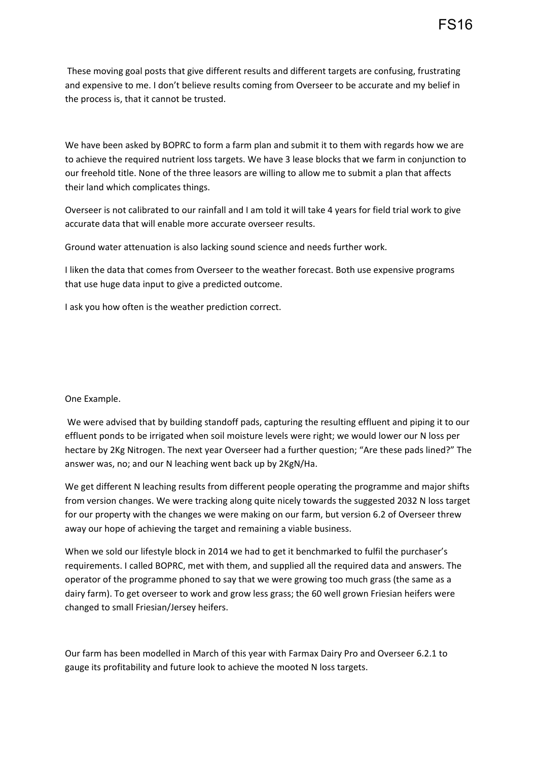These moving goal posts that give different results and different targets are confusing, frustrating and expensive to me. I don't believe results coming from Overseer to be accurate and my belief in the process is, that it cannot be trusted.

We have been asked by BOPRC to form a farm plan and submit it to them with regards how we are to achieve the required nutrient loss targets. We have 3 lease blocks that we farm in conjunction to our freehold title. None of the three leasors are willing to allow me to submit a plan that affects their land which complicates things.

Overseer is not calibrated to our rainfall and I am told it will take 4 years for field trial work to give accurate data that will enable more accurate overseer results.

Ground water attenuation is also lacking sound science and needs further work.

I liken the data that comes from Overseer to the weather forecast. Both use expensive programs that use huge data input to give a predicted outcome.

I ask you how often is the weather prediction correct.

## One Example.

We were advised that by building standoff pads, capturing the resulting effluent and piping it to our effluent ponds to be irrigated when soil moisture levels were right; we would lower our N loss per hectare by 2Kg Nitrogen. The next year Overseer had a further question; "Are these pads lined?" The answer was, no; and our N leaching went back up by 2KgN/Ha.

We get different N leaching results from different people operating the programme and major shifts from version changes. We were tracking along quite nicely towards the suggested 2032 N loss target for our property with the changes we were making on our farm, but version 6.2 of Overseer threw away our hope of achieving the target and remaining a viable business.

When we sold our lifestyle block in 2014 we had to get it benchmarked to fulfil the purchaser's requirements. I called BOPRC, met with them, and supplied all the required data and answers. The operator of the programme phoned to say that we were growing too much grass (the same as a dairy farm). To get overseer to work and grow less grass; the 60 well grown Friesian heifers were changed to small Friesian/Jersey heifers.

Our farm has been modelled in March of this year with Farmax Dairy Pro and Overseer 6.2.1 to gauge its profitability and future look to achieve the mooted N loss targets.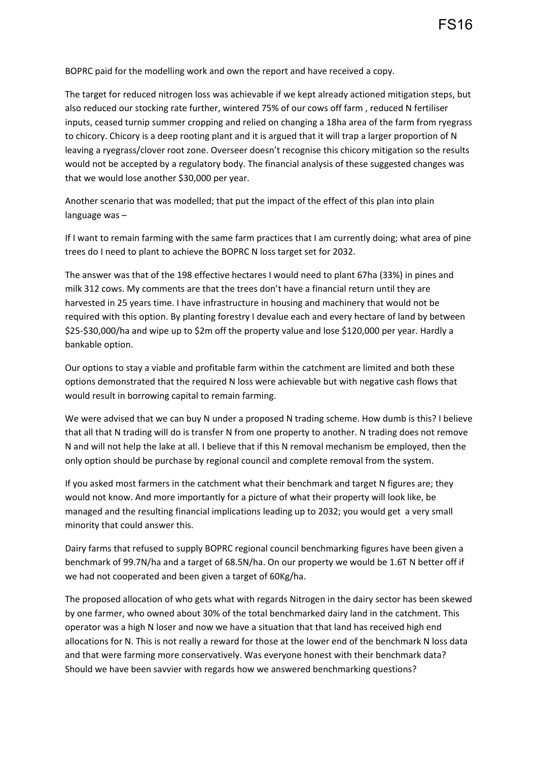BOPRC paid for the modelling work and own the report and have received a copy.

The target for reduced nitrogen loss was achievable if we kept already actioned mitigation steps, but also reduced our stocking rate further, wintered 75% of our cows off farm , reduced N fertiliser inputs, ceased turnip summer cropping and relied on changing a 18ha area of the farm from ryegrass to chicory. Chicory is a deep rooting plant and it is argued that it will trap a larger proportion of N leaving a ryegrass/clover root zone. Overseer doesn't recognise this chicory mitigation so the results would not be accepted by a regulatory body. The financial analysis of these suggested changes was that we would lose another \$30,000 per year.

Another scenario that was modelled; that put the impact of the effect of this plan into plain language was –

If I want to remain farming with the same farm practices that I am currently doing; what area of pine trees do I need to plant to achieve the BOPRC N loss target set for 2032.

The answer was that of the 198 effective hectares I would need to plant 67ha (33%) in pines and milk 312 cows. My comments are that the trees don't have a financial return until they are harvested in 25 years time. I have infrastructure in housing and machinery that would not be required with this option. By planting forestry I devalue each and every hectare of land by between \$25-\$30,000/ha and wipe up to \$2m off the property value and lose \$120,000 per year. Hardly a bankable option.

Our options to stay a viable and profitable farm within the catchment are limited and both these options demonstrated that the required N loss were achievable but with negative cash flows that would result in borrowing capital to remain farming.

We were advised that we can buy N under a proposed N trading scheme. How dumb is this? I believe that all that N trading will do is transfer N from one property to another. N trading does not remove N and will not help the lake at all. I believe that if this N removal mechanism be employed, then the only option should be purchase by regional council and complete removal from the system.

If you asked most farmers in the catchment what their benchmark and target N figures are; they would not know. And more importantly for a picture of what their property will look like, be managed and the resulting financial implications leading up to 2032; you would get a very small minority that could answer this.

Dairy farms that refused to supply BOPRC regional council benchmarking figures have been given a benchmark of 99.7N/ha and a target of 68.5N/ha. On our property we would be 1.6T N better off if we had not cooperated and been given a target of 60Kg/ha.

The proposed allocation of who gets what with regards Nitrogen in the dairy sector has been skewed by one farmer, who owned about 30% of the total benchmarked dairy land in the catchment. This operator was a high N loser and now we have a situation that that land has received high end allocations for N. This is not really a reward for those at the lower end of the benchmark N loss data and that were farming more conservatively. Was everyone honest with their benchmark data? Should we have been savvier with regards how we answered benchmarking questions?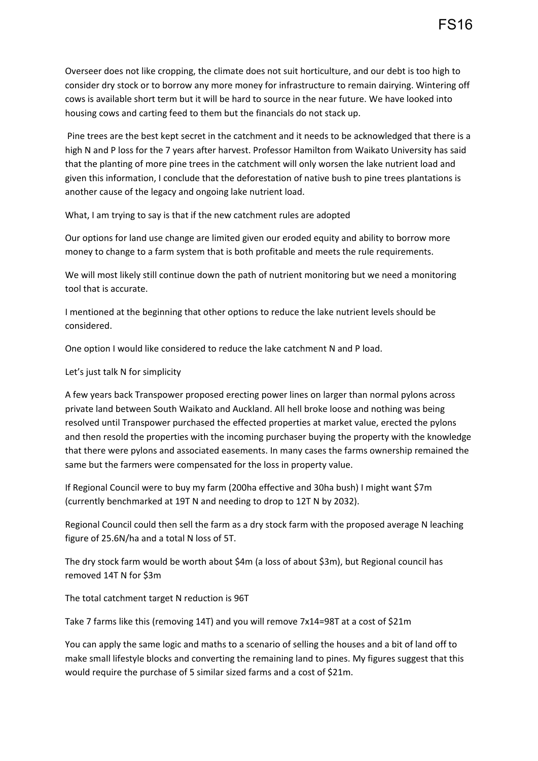Overseer does not like cropping, the climate does not suit horticulture, and our debt is too high to consider dry stock or to borrow any more money for infrastructure to remain dairying. Wintering off cows is available short term but it will be hard to source in the near future. We have looked into housing cows and carting feed to them but the financials do not stack up.

Pine trees are the best kept secret in the catchment and it needs to be acknowledged that there is a high N and P loss for the 7 years after harvest. Professor Hamilton from Waikato University has said that the planting of more pine trees in the catchment will only worsen the lake nutrient load and given this information, I conclude that the deforestation of native bush to pine trees plantations is another cause of the legacy and ongoing lake nutrient load.

What, I am trying to say is that if the new catchment rules are adopted

Our options for land use change are limited given our eroded equity and ability to borrow more money to change to a farm system that is both profitable and meets the rule requirements.

We will most likely still continue down the path of nutrient monitoring but we need a monitoring tool that is accurate.

I mentioned at the beginning that other options to reduce the lake nutrient levels should be considered.

One option I would like considered to reduce the lake catchment N and P load.

Let's just talk N for simplicity

A few years back Transpower proposed erecting power lines on larger than normal pylons across private land between South Waikato and Auckland. All hell broke loose and nothing was being resolved until Transpower purchased the effected properties at market value, erected the pylons and then resold the properties with the incoming purchaser buying the property with the knowledge that there were pylons and associated easements. In many cases the farms ownership remained the same but the farmers were compensated for the loss in property value.

If Regional Council were to buy my farm (200ha effective and 30ha bush) I might want \$7m (currently benchmarked at 19T N and needing to drop to 12T N by 2032).

Regional Council could then sell the farm as a dry stock farm with the proposed average N leaching figure of 25.6N/ha and a total N loss of 5T.

The dry stock farm would be worth about \$4m (a loss of about \$3m), but Regional council has removed 14T N for \$3m

The total catchment target N reduction is 96T

Take 7 farms like this (removing 14T) and you will remove 7x14=98T at a cost of \$21m

You can apply the same logic and maths to a scenario of selling the houses and a bit of land off to make small lifestyle blocks and converting the remaining land to pines. My figures suggest that this would require the purchase of 5 similar sized farms and a cost of \$21m.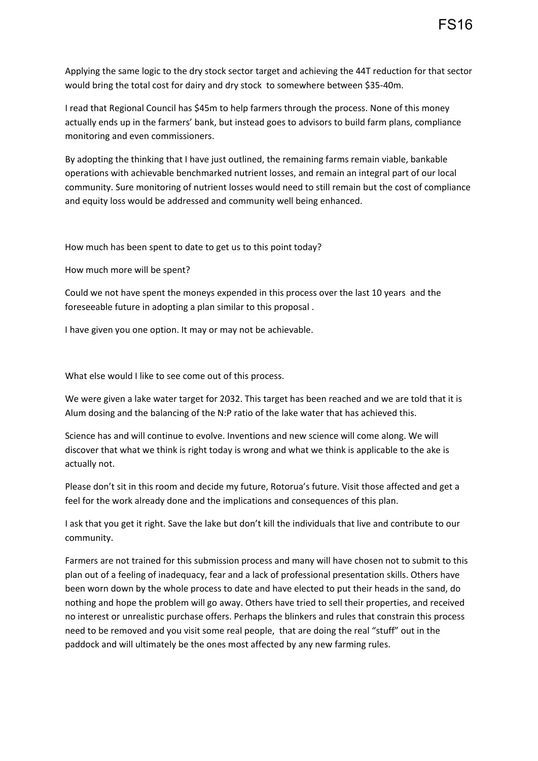Applying the same logic to the dry stock sector target and achieving the 44T reduction for that sector would bring the total cost for dairy and dry stock to somewhere between \$35-40m.

I read that Regional Council has \$45m to help farmers through the process. None of this money actually ends up in the farmers' bank, but instead goes to advisors to build farm plans, compliance monitoring and even commissioners.

By adopting the thinking that I have just outlined, the remaining farms remain viable, bankable operations with achievable benchmarked nutrient losses, and remain an integral part of our local community. Sure monitoring of nutrient losses would need to still remain but the cost of compliance and equity loss would be addressed and community well being enhanced.

How much has been spent to date to get us to this point today?

How much more will be spent?

Could we not have spent the moneys expended in this process over the last 10 years and the foreseeable future in adopting a plan similar to this proposal .

I have given you one option. It may or may not be achievable.

What else would I like to see come out of this process.

We were given a lake water target for 2032. This target has been reached and we are told that it is Alum dosing and the balancing of the N:P ratio of the lake water that has achieved this.

Science has and will continue to evolve. Inventions and new science will come along. We will discover that what we think is right today is wrong and what we think is applicable to the ake is actually not.

Please don't sit in this room and decide my future, Rotorua's future. Visit those affected and get a feel for the work already done and the implications and consequences of this plan.

I ask that you get it right. Save the lake but don't kill the individuals that live and contribute to our community.

Farmers are not trained for this submission process and many will have chosen not to submit to this plan out of a feeling of inadequacy, fear and a lack of professional presentation skills. Others have been worn down by the whole process to date and have elected to put their heads in the sand, do nothing and hope the problem will go away. Others have tried to sell their properties, and received no interest or unrealistic purchase offers. Perhaps the blinkers and rules that constrain this process need to be removed and you visit some real people, that are doing the real "stuff" out in the paddock and will ultimately be the ones most affected by any new farming rules.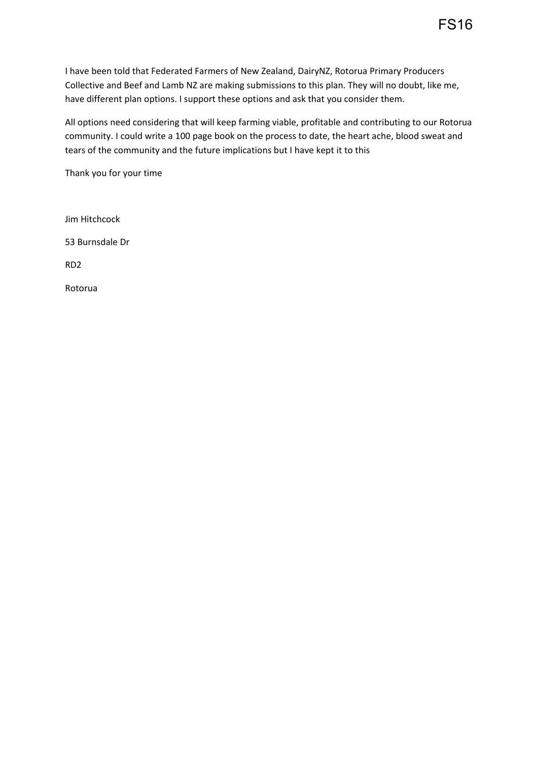All options need considering that will keep farming viable, profitable and contributing to our Rotorua community. I could write a 100 page book on the process to date, the heart ache, blood sweat and tears of the community and the future implications but I have kept it to this

Thank you for your time

Jim Hitchcock 53 Burnsdale Dr RD2 Rotorua